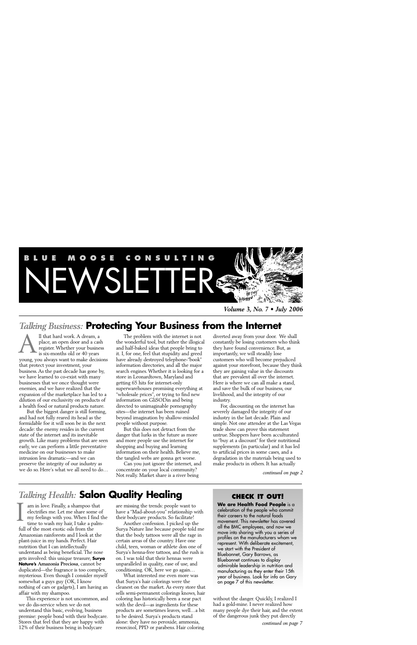

*Volume 3, No. 7 • July 2006*

## *Talking Business:* **Protecting Your Business from the Internet**

ll that hard work. A dream, a place, an open door and a cash register. Whether your business is six-months old or 40 years young, you always want to make decisions that protect your investment, your business. As the past decade has gone by, we have learned to co-exist with many businesses that we once thought were enemies, and we have realized that the expansion of the marketplace has led to a dilution of our exclusivity on products of a health food or natural products nature. A

But the biggest danger is still forming, and had not fully reared its head as the formidable foe it will soon be in the next decade: the enemy resides in the current state of the internet and its inevitable growth. Like many problems that are seen early, we can perform a little preventative medicine on our businesses to make intrusion less dramatic—and we can preserve the integrity of our industry as we do so. Here's what we all need to do…

The problem with the internet is not the wonderful tool, but rather the illogical and half-baked ideas that people bring to it. I, for one, feel that stupidity and greed have already destroyed telephone-"book" information directories, and all the major search engines. Whether it is looking for a store in Leonardtown, Maryland and getting 65 hits for internet-only superwarehouses promising everything at "wholesale prices", or trying to find new information on GliSODin and being directed to unimaginable pornography sites—the internet has been ruined beyond imagination by shallow-minded people without purpose.

But this does not detract from the danger that lurks in the future as more and more people use the internet for shopping and buying and learning information on their health. Believe me, the tangled webs are gonna get worse.

Can you just ignore the internet, and concentrate on your local community? Not really. Market share is a river being

diverted away from your door. We shall constantly be losing customers who think they have found convenience. But, as importantly, we will steadily lose customers who will become prejudiced against your storefront, because they think they are gaining value in the discounts that are prevalent all over the internet. Here is where we can all make a stand, and save the bulk of our business, our livelihood, and the integrity of our industry.

For, discounting on the internet has severely damaged the integrity of our industry in the last decade. Plain and simple. Not one attendee at the Las Vegas trade show can prove this statement untrue. Shoppers have been acculturated to "buy at a discount" for their nutritional supplements (in particular) and it has led to artificial prices in some cases, and a degradation in the materials being used to make products in others. It has actually

*continued on page 2*

# *Talking Health:* **Salon Quality Healing**

am in love. Finally, a shampoo that electrifies me. Let me share some of my feelings with you. When I find the time to wash my hair, I take a palmfull of the most exotic oils from the Amazonian rainforests and I look at the plant-juice in my hands. Perfect. Hair nutrition that I can intellectually understand as being beneficial. The nose gets involved: this unique treasure, **Surya Nature's Amazonia Preciosa**, cannot be duplicated—the fragrance is too complex, mysterious. Even though I consider myself somewhat a guys guy (OK, I know nothing of cars or gadgets), I am having an affair with my shampoo. I

This experience is not uncommon, and we do dis-service when we do not understand this basic, evolving, business premise: people bond with their bodycare. Stores that feel that they are happy with 12% of their business being in bodycare

are missing the trends: people want to have a "Mad-about-you" relationship with their bodycare products. So facilitate!

Another confession. I picked up the Surya Nature line because people told me that the body tattoos were all the rage in certain areas of the country. Have one child, teen, woman or athlete don one of Surya's henna-free tattoos, and the rush is on. I was told that their hennas were unparalleled in quality, ease of use, and conditioning. OK, here we go again…

What interested me even more was that Surya's hair colorings were the cleanest on the market. As every store that sells semi-permanent colorings knows, hair coloring has historically been a near pact with the devil—as ingredients for these products are sometimes leaves, well…a bit to be desired. Surya's products stand alone: they have no peroxide, ammonia, resorcinol, PPD or parabens. Hair coloring

### **CHECK IT OUT!**

**We are Health Food People** is a celebration of the people who commit their careers to the natural foods movement. This newsletter has covered all the BMC employees, and now we move into sharing with you a series of profiles on the manufacturers whom we represent. With deliberate excitement, we start with the President of Bluebonnet, Gary Barrows, as Bluebonnet continues to display admirable leadership in nutrition and manufacturing as they enter their 15th year of business. Look for info on Gary on page 7 of this newsletter.

without the danger. Quickly, I realized I had a gold-mine. I never realized how many people dye their hair, and the extent of the dangerous junk they put directly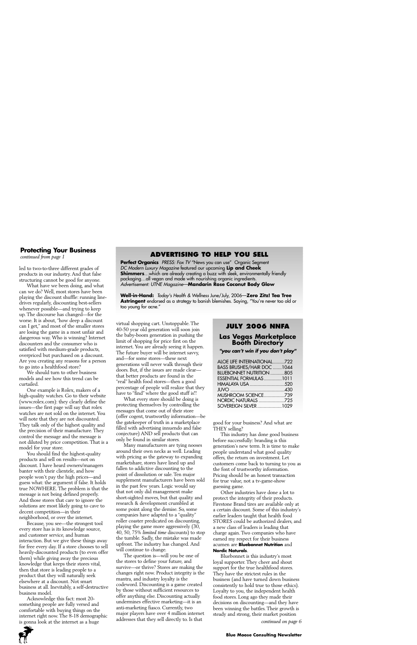# **Protecting Your Business** continued from page 1

led to two-to-three different grades of products in our industry. And that false structuring cannot be good for anyone.

What have we been doing, and what can we do? Well, most stores have been playing the discount shuffle: running linedrives regularly, discounting best-sellers whenever possible—and trying to keep up. The discourse has changed—for the worse. It is about, "how deep a discount can I get," and most of the smaller stores are losing the game in a most unfair and dangerous way. Who is winning? Internet discounters and the consumer who is satisfied with medium-grade products, overpriced but purchased on a discount. Are you creating any reasons for a person to go into a healthfood store?

We should turn to other business models and see how this trend can be curtailed.

One example is Rolex, makers of a high-quality watches. Go to their website (www.rolex.com): they clearly define the issues—the first page will say that rolex watches are not sold on the internet. You will note that they are not discounted. They talk only of the highest quality and the precision of their manufacture. They control the message and the message is not diluted by price competition. That is a model for your store.

You should find the highest-quality products and sell on results—not on discount. I have heard owners/managers banter with their clientele, and how people won't pay the high prices—and guess what: the argument if false. It holds true NOWHERE. The problem is that the message is not being defined properly. And those stores that care to ignore the solutions are most likely going to cave to decent competition—in their neighborhood, or over the internet.

Because, you see—the strongest tool every store has is its knowledge source, and customer service, and human interaction. But we give these things away for free every day. If a store chooses to sell heavily-discounted products (to even offer them) while giving away the precious knowledge that keeps their stores vital, then that store is leading people to a product that they will naturally seek elsewhere at a discount. Not smart business at all. Inevitably, a self-destructive business model.

Acknowledge this fact: most 20 something people are fully versed and comfortable with buying things on the internet right now. The 8-18 demographic is gonna look at the internet as a huge

### *continued from page 1* **ADVERTISING TO HELP YOU SELL**

**Perfect Organics** PRESS: Fox TV "News you can use" Organic Segment DC Modern Luxury Magazine featured our upcoming **Lip and Cheek Shimmers**…which are already creating a buzz with sleek, environmentally friendly packaging…all vegan and made with nourishing organic ingredients. Advertisement: UTNE Magazine—**Mandarin Rose Coconut Body Glow**

**Well-in-Hand:** Today's Health & Wellness June/July, 2006—**Zero Zitz! Tea Tree Astringent** endorsed as a strategy to banish blemishes. Saying, "You're never too old or too young for acne."

virtual shopping cart. Unstoppable. The 40-50 year old generation will soon join the baby-boom generation in pushing the limit of shopping for price first on the internet. You are already seeing it happen. The future buyer will be internet savvy, and—for some stores—these next generations will never walk through their doors. But, if the issues are made clear that better products are found in the "real" health food stores—then a good percentage of people will realize that they have to "find" where the good stuff is!!

What every store should be doing is protecting themselves by controlling the messages that come out of their store (offer cogent, trustworthy information—be the gatekeeper of truth in a marketplace filled with advertising innuendo and false conjecture) AND sell products that can only be found in similar stores.

Many manufacturers are tying nooses around their own necks as well. Leading with pricing as the gateway to expanding marketshare, stores have lined up and fallen to addictive discounting to the point of dissolution or sale. Ten major supplement manufacturers have been sold in the past few years. Logic would say that not only did management make short-sighted moves, but that quality and research & development crumbled at some point along the demise. So, some companies have adapted to a "quality" roller coaster predicated on discounting, playing the game more aggressively (30, 40, 50, 75% *limited time* discounts) to stop the tumble. Sadly, the mistake was made upfront. The industry has changed. And will continue to change.

The question is—will you be one of the stores to define your future, and survive—or thrive? Stores are making the changes right now. Product integrity is the mantra, and industry loyalty is the codeword. Discounting is a game created by those without sufficient resources to offer anything else. Discounting actually undermines effective marketing—it is an anti-marketing fiasco. Currently, two major players have over 4 million internet addresses that they sell directly to. Is that

#### **JULY 2006 NNFA**

# **Las Vegas Marketplace Booth Directory**

**"you can't win if you don't play"**

| ALOE LIFE INTERNATIONAL722      |  |
|---------------------------------|--|
| BASS BRUSHES/HAIR DOC 1044      |  |
| <b>BLUEBONNET NUTRITION 805</b> |  |
| ESSENTIAL FORMULAS1011          |  |
| HIMALAYA USA 520                |  |
| JUVO <sub>1</sub> 430           |  |
| MUSHROOM SCIENCE739             |  |
| NORDIC NATURALS 725             |  |
| SOVEREIGN SILVER 1029           |  |

good for your business? And what are THEY selling?

This industry has done good business before successfully: branding is this generation's new term. It is time to make people understand what good quality offers, the return on investment. Let customers come back to turning to you as the font of trustworthy information. Pricing should be an honest transaction for true value, not a tv-game-show guessing game.

Other industries have done a lot to protect the integrity of their products. Firestone Brand tires are available only at a certain discount. Some of this industry's earlier leaders taught that health food STORES could be authorized dealers, and a new class of leaders is leading that charge again. Two companies who have earned my respect for their business acumen are **Bluebonnet Nutrition** and **Nordic Naturals**.

Bluebonnet is this industry's most loyal supporter. They cheer and shout support for the true healthfood stores. They have the strictest rules in the business (and have turned down business consistently to hold true to those ethics). Loyalty to you, the independent health food stores. Long ago they made their decisions on discounting—and they have been winning the battles. Their growth is steady and strong, their market position

*continued on page 6*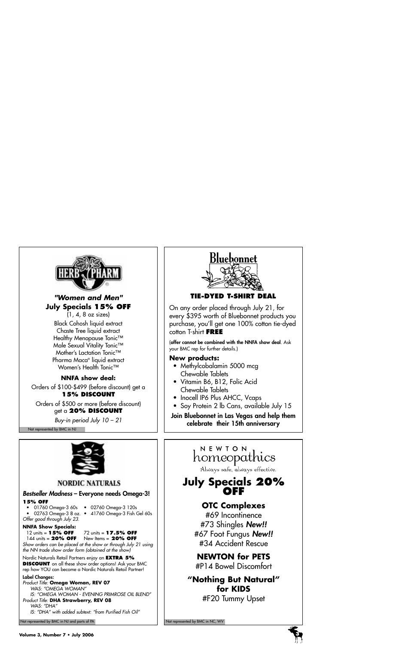

### **"Women and Men" July Specials 15% OFF**

(1, 4, 8 oz sizes) Black Cohosh liquid extract Chaste Tree liquid extract Healthy Menopause Tonic™ Male Sexual Vitality Tonic™ Mother's Lactation Tonic™ Pharma Maca® liquid extract Women's Health Tonic<sup>™</sup>

### **NNFA show deal:**

Orders of \$100-\$499 (before discount) get a **15% DISCOUNT**

Orders of \$500 or more (before discount) get a **20% DISCOUNT**

Buy-in period July 10 – 21

Not represented by BMC in NJ



### **TIE-DYED T-SHIRT DEAL**

On any order placed through July 21, for every \$395 worth of Bluebonnet products you purchase, you'll get one 100% cotton tie-dyed cotton T-shirt **FREE** 

(offer cannot be combined with the NNFA show deal. Ask your BMC rep for further details.)

### **New products:**

- Methylcobalamin 5000 mcg Chewable Tablets
- Vitamin B6, B12, Folic Acid Chewable Tablets
- Inocell IP6 Plus AHCC, Vcaps
- Soy Protein 2 lb Cans, available July 15

Join Bluebonnet in Las Vegas and help them celebrate their 15th anniversary

### **NORDIC NATURALS**

### Bestseller Madness – Everyone needs Omega-3!

#### **15% OFF**

- 
- 01760 Omega-3 60s 02760 Omega-3 120s
- 
- 02763 Omega-3 8 oz. 41760 Omega-3 Fish Gel 60s

Offer good through July 23.

# **NNFA Show Specials:**<br>12 units = **15% OFF**

### 12 units = **15% OFF** 72 units = **17.5% OFF**

144 units = **20% OFF** New Items = **20% OFF** Show orders can be placed at the show or through July 21 using the NN trade show order form (obtained at the show)

Nordic Naturals Retail Partners enjoy an **EXTRA 5% DISCOUNT** on all these show order options! Ask your BMC rep how YOU can become a Nordic Naturals Retail Partner!

#### Label Changes:

Product Title: **Omega Woman, REV 07** WAS: "OMEGA WOMAN" IS: "OMEGA WOMAN - EVENING PRIMROSE OIL BLEND" Product Title: **DHA Strawberry, REV 08** WAS: "DHA" IS: "DHA" with added subtext: "from Purified Fish Oil"

Not represented by BMC in NJ and parts of PA Not represented by BMC in NC, WV Not represented by BMC in NC, WV

## NEWTON homeopathics

Always safe, always effective.

## **July Specials 20% OFF**

## **OTC Complexes**

#69 Incontinence #73 Shingles New!! #67 Foot Fungus New!! #34 Accident Rescue

## **NEWTON for PETS**

#P14 Bowel Discomfort

# **"Nothing But Natural" for KIDS**

#F20 Tummy Upset

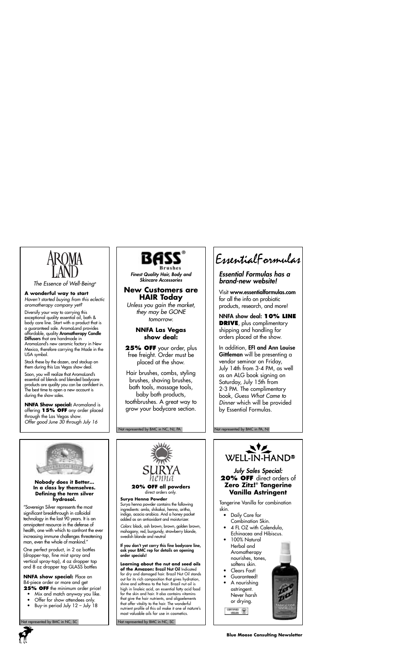

The Essence of Well-Being®

#### **A wonderful way to start**

Haven't started buying from this eclectic aromatherapy company yet?

Diversify your way to carrying this exceptional quality essential oil, bath & body care line. Start with a product that is a guaranteed sale. AromaLand provides affordable, quality Aromatherapy Candle Diffusers that are handmade in AromaLand's new ceramic factory in New

Mexico, therefore carrying the Made in the USA symbol.

Stock these by the dozen, and stockup on them during this Las Vegas show deal.

Soon, you will realize that AromaLand's essential oil blends and blended bodycare products are quality you can be confident in. The best time to open a new account is during the show sales.

**NNFA Show special:** Aromaland is offering **15% OFF** any order placed through the Las Vegas show. Offer good June 30 through July 16



Finest Quality Hair, Body and Skincare Accessories

#### **New Customers are HAIR Today**

Unless you gain the market, they may be GONE tomorrow.

#### **NNFA Las Vegas show deal:**

**25% OFF** your order, plus free freight. Order must be placed at the show.

Hair brushes, combs, styling brushes, shaving brushes, bath tools, massage tools, baby bath products, toothbrushes. A great way to grow your bodycare section.

Not represented by BMC in NC, NJ, PA

# EssentialFormulas

#### Essential Formulas has a brand-new website!

Visit www.essentialformulas.com for all the info on probiotic products, research, and more!

NNFA show deal: **10% LINE DRIVE**, plus complimentary shipping and handling for orders placed at the show.

In addition, EFI and Ann Louise Gittleman will be presenting a vendor seminar on Friday, July 14th from 3-4 PM, as well as an ALG book signing on Saturday, July 15th from 2-3 PM. The complimentary book, Guess What Came to Dinner which will be provided by Essential Formulas.

#### Not represented by BMC in PA, NJ



#### **Nobody does it Better… In a class by themselves. Defining the term silver hydrosol.**

"Sovereign Silver represents the most significant breakthrough in colloidal technology in the last 90 years. It is an omnipotent resource in the defense of health, one with which to confront the ever increasing immune challenges threatening man, even the whole of mankind."

One perfect product, in 2 oz bottles (dropper-top, fine mist spray and vertical spray-top), 4 oz dropper top and 8 oz dropper top GLASS bottles

**NNFA show special:** Place an 84-piece order or more and get **25% OFF** the minimum order price!

• Mix and match anyway you like.

- Offer for show attendees only.
- Buy-in period July 12 July 18
- 



**20% OFF all powders** direct orders only.

**Surya Henna Powder**

Surya henna powder contains the following ingredients: amla, shikakai, henna, aritha, indigo, acacia arabica. And a honey packet added as an antioxidant and moisturizer.

Colors: black, ash brown, brown, golden brown, mahogany, red, burgundy, strawberry blonde, swedish blonde and neutral

If you don't yet carry this fine bodycare line, ask your BMC rep for details on opening order specials!

**Learning about the nut and seed oils of the Amazon:** Brazil Nut Oil Indicated for dry and damaged hair. Brazil Nut Oil stands out for its rich composition that gives hydration, shine and softness to the hair. Brazil nut oil is high in linoleic acid, an essential fatty acid food for the skin and hair. It also contains vitamins that give the hair nutrients, and oligoelements that offer vitality to the hair. The wonderful nutrient profile of this oil make it one of nature's most valuable oils for use in cosmetics.

ot represented by BMC in NC, SC Not represented by BMC in NC, SC



### **SURYA** *July Sales Special:*<br> *henna* **20% OFF** direct order **20% OFF** direct orders of **Zero Zitz!® Tangerine Vanilla Astringent**

Tangerine Vanilla for combination skin.

- Daily Care for Combination Skin.
- $\Delta$  FL OZ with Calendula Echinacea and Hibiscus.
- 100% Natural Herbal and **Aromatherapy** nourishes, tones, softens skin.
- Clears Fast!
- Guaranteed!
- A nourishing astringent. Never harsh or drying.

CONTINUES (C)



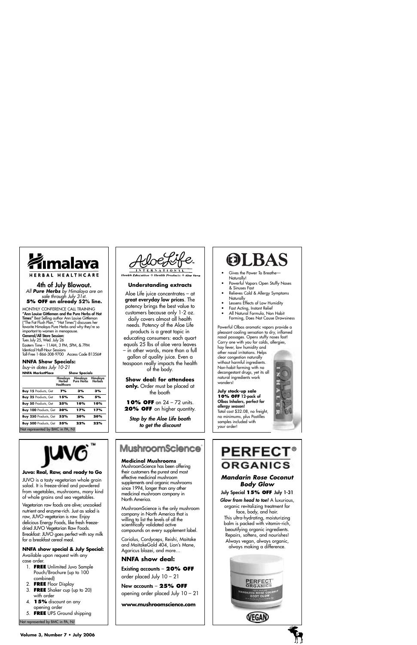

4th of July Blowout. All **Pure Herbs** by Himalaya are on sale through July 31st. **5% OFF an already 52% line.**

MONTHLY CONFERENCE CALL TRAINING<br>"Ann Louise Gittleman and the Pure Herbs of Hot "Ann Louise Gittleman and the Pure Herbs of Hot Times" Best Selling author Ann Louise Gittleman ("The Fat Flush Plan," "Hot Times") discusses her favorite Himalaya Pure Herbs and why they're so important to women in menopause.

General/All Store Session: Tues July 25, Wed. July 26 Eastern Time – 11AM, 3 PM, 5PM, & 7PM Identical Half-Hour Sessions Toll-Free 1-866-308-9700 Access Code 81356#

**NNFA Show Specials:**

buy-in dates July 10-21

| NNFA MarketPlace                 | <b>Show Specials</b>             |                               |                     |
|----------------------------------|----------------------------------|-------------------------------|---------------------|
|                                  | Himalava<br>Herbal<br>Healthcare | Himalaya<br><b>Pure Herbs</b> | Himalava<br>Herbals |
| <b>Buy 15 Products, Get</b>      | 7%                               | 3%                            | 3%                  |
| Buy 25 Products, Get             | 15%                              | 5%                            | 5%                  |
| <b>Buy 50 Products, Get</b>      | 25%                              | 10%                           | 10%                 |
| <b>Buy 100 Products, Get</b>     | 30%                              | 17%                           | 17%                 |
| <b>Buy 250 Products, Get</b>     | 32%                              | 20%                           | 20%                 |
| Buy 500 Products, Get            | 35%                              | 22%                           | 22%                 |
| Not represented by BMC in PA, NJ |                                  |                               |                     |



#### **Juvo: Real, Raw, and ready to Go**

JUVO is a tasty vegetarian whole grain salad. It is freeze-dried and powdered from vegetables, mushrooms, many kind of whole grains and sea vegetables.

Vegetarian raw foods are alive; uncooked nutrient and enzyme-rich. Just as salad is raw, JUVO vegetarian is raw. Enjoy delicious Energy Foods, like fresh freezedried JUVO Vegetarian Raw Foods. Breakfast: JUVO goes perfect with soy milk for a breakfast cereal meal.

#### **NNFA show special & July Special:**

Available upon request with any case order.

- 1. **FREE** Unlimited Juvo Sample Pouch/Brochure (up to 100 combined)
- 2. **FREE** Floor Display
- 3. **FREE** Shaker cup (up to 20) with order
- 4. **15%** discount on any opening order
- 5. **FREE** UPS Ground shipping

Not represented by BMC in PA, NJ



**Health Education & Health Products & Aloe Vera** 

#### **Understanding extracts**

Aloe Life juice concentrates – at great everyday low prices. The potency brings the best value to customers because only 1-2 oz. daily covers almost all health needs. Potency of the Aloe Life products is a great topic in educating consumers: each quart equals 25 lbs of aloe vera leaves – in other words, more than a full gallon of quality juice. Even a teaspoon really impacts the health of the body.

#### **Show deal: for attendees**

**only.** Order must be placed at the booth

**10% OFF** on 24 – 72 units. **20% OFF** on higher quantity.

Stop by the Aloe Life booth to get the discount

## **MushroomScience**

#### **Medicinal Mushrooms**

MushroomScience has been offering their customers the purest and most effective medicinal mushroom supplements and organic mushrooms since 1994, longer than any other medicinal mushroom company in North America.

MushroomScience is the only mushroom company in North America that is willing to list the levels of all the scientifically validated active compounds on every supplement label.

Coriolus, Cordyceps, Reishi, Maitake and MaitakeGold 404, Lion's Mane, Agaricus blazei, and more…

#### **NNFA show deal:**

Existing accounts – **20% OFF** order placed July 10 – 21

New accounts – **25% OFF** opening order placed July 10 – 21

#### **www.mushroomscience.com**



- Gives the Power To Breathe— Naturally!
- Powerful Vapors Open Stuffy Noses & Sinuses Fast
- Relieves Cold & Allergy Symptoms **Naturally**
- Lessens Effects of Low Humidity
- Fast Acting, Instant Relief
- All Natural Formula, Non Habit Forming, Does Not Cause Drowsiness

Powerful Olbas aromatic vapors provide a pleasant cooling sensation to dry, inflamed nasal passages. Opens stuffy noses fast! Carry one with you for colds, allergies, hay fever, low humidity and other nasal irritations. Helps

clear congestion naturally without harmful ingredients. Non-habit forming with no decongestant drugs, yet its all natural ingredients work wonders!

**July stock-up sale 10% OFF** 12-pack of Olbas Inhalers, perfect for allergy season! Total cost \$32.08, no freight, no minimums, plus Pastilles samples included with your order!



# **PERFECT® ORGANICS**

#### **Mandarin Rose Coconut Body Glow**

July Special **15% OFF** July 1-31 Glow from head to toe! A luxurious, organic revitalizing treatment for face, body, and hair. This ultra-hydrating, moisturizing balm is packed with vitamin-rich, beautifying organic ingredients. Repairs, softens, and nourishes! Always vegan, always organic, always making a difference.

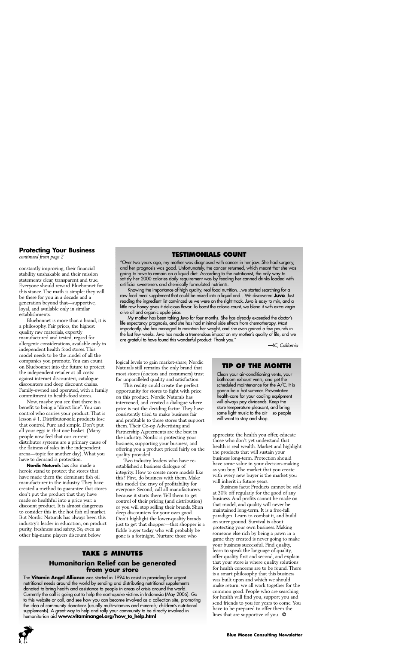#### **Protecting Your Business**

*continued from page 2*

constantly improving, their financial stability unshakable and their mission statements clear, transparent and true. Everyone should reward Bluebonnet for this stance. The math is simple: they will be there for you in a decade and a generation beyond that—supportive, loyal, and available only in similar establishments.

Bluebonnet is more than a brand, it is a philosophy. Fair prices, the highest quality raw materials, expertly manufactured and tested, regard for allergenic considerations, available only in independent health food stores. This model needs to be the model of all the companies you promote. You can count on Bluebonnet into the future to protect the independent retailer at all costs: against internet discounters, catalogue discounters and deep discount chains. Family-owned and operated, with a family commitment to health-food stores.

Now, maybe you see that there is a benefit to being a "direct line". You can control who carries your product. That is lesson # 1. Distributor-sold products lose that control. Pure and simple. Don't put all your eggs in that one basket. (Many people now feel that our current distributor systems are a primary cause of the flatness of sales in the independent arena—topic for another day). What you have to demand is protection.

**Nordic Naturals** has also made a heroic stand to protect the stores that have made them the dominant fish oil manufacturer in the industry. They have created a method to guarantee that stores don't put the product that they have made so healthful into a price war: a discount product. It is almost dangerous to consider this in the hot fish oil market. But Nordic Naturals has always been this industry's leader in education, on product purity, freshness and safety. So, even as other big-name players discount below

#### **TESTIMONIALS COUNT**

"Over two years ago, my mother was diagnosed with cancer in her jaw. She had surgery, and her prognosis was good. Unfortunately, the cancer returned, which meant that she was going to have to remain on a liquid diet. According to the nutritionist, the only way to satisfy her 2000 calories daily requirement was by feeding her canned drinks loaded with artificial sweeteners and chemically formulated nutrients.

Knowing the importance of high-quality, real food nutrition…we started searching for a raw food meal supplement that could be mixed into a liquid and…We discovered **Juvo**. Just reading the ingredient list convinced us we were on the right track. Juvo is easy to mix, and a little raw honey gives it delicious flavor. To boost the calorie count, we blend it with extra virgin olive oil and organic apple juice.

My mother has been taking Juvo for four months. She has already exceeded the doctor's life expectancy prognosis, and she has had minimal side effects from chemotherapy. Most importantly, she has managed to maintain her weight, and she even gained a few pounds in the last few weeks. Juvo has made a tremendous impact on my mother's quality of life, and we are grateful to have found this wonderful product. Thank you."

—LC, California

appreciate the health you offer, educate those who don't yet understand that health is real wealth. Market and highlight the products that will sustain your business long-term. Protection should have some value in your decision-making as you buy. The market that you create with every new buyer is the market you

will want to stay and shop.

**TIP OF THE MONTH** Clean your air-conditioning vents, your bathroom exhaust vents, and get the scheduled maintenance for the A/C. It is gonna be a hot summer. Preventative health-care for your cooling equipment will always pay dividends. Keep the store temperature pleasant, and bring some light music to the  $air - so$  people

Business facts: Products cannot be sold at 30% off regularly for the good of any business. And profits cannot be made on that model, and quality will never be maintained long-term. It is a free-fall paradigm. Learn to combat it, and build on surer ground. Survival is about protecting your own business. Making someone else rich by being a pawn in a game they created is never going to make your business successful. Find quality, learn to speak the language of quality, offer quality first and second, and explain that your store is where quality solutions for health concerns are to be found. There is a smart philosophy that this business was built upon and which we should make return: we all work together for the common good. People who are searching for health will find you, support you and send friends to you for years to come. You have to be prepared to offer them the lines that are supportive of you.  $*$ 

will inherit in future years.

logical levels to gain market-share, Nordic Naturals still remains the only brand that most stores (doctors and consumers) trust for unparalleled quality and satisfaction.

This reality could create the perfect opportunity for stores to fight with price on this product. Nordic Naturals has intervened, and created a dialogue where price is not the deciding factor. They have consistently tried to make business fair and profitable to those stores that support them. Their Co-op Advertising and Partnership Agreements are the best in the industry. Nordic is protecting your business, supporting your business, and offering you a product priced fairly on the quality provided.

Two industry leaders who have reestablished a business dialogue of integrity. How to create more models like this? First, do business with them. Make this model the envy of profitability for everyone. Second, call all manufacturers: because it starts there. Tell them to get control of their pricing (and distribution) or you will stop selling their brands. Shun deep discounters for your own good. Don't highlight the lower-quality brands just to get that shopper—that shopper is a fickle buyer today who will probably be gone is a fortnight. Nurture those who

# **TAKE 5 MINUTES**

# **Humanitarian Relief can be generated from your store**

The **Vitamin Angel Alliance** was started in 1994 to assist in providing for urgent nutritional needs around the world by sending and distributing nutritional supplements donated to bring health and assistance to people in areas of crisis around the world. Currently the call is going out to help the earthquake victims in Indonesia (May 2006). Go to this website or call, and see how you can become involved as a collection site, promoting the idea of community donations (usually multi-vitamins and minerals; children's nutritional supplements). A great way to help and rally your community to be directly involved in humanitarian aid **www.vitaminangel.org/how\_to\_help.html**

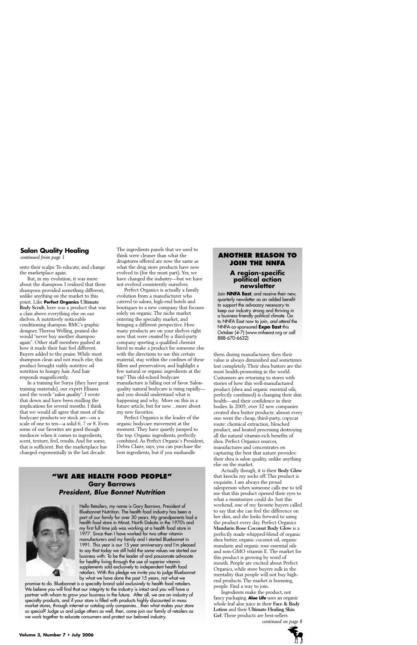### **Salon Quality Healing**

*continued from page 1*

onto their scalps. To educate, and change the marketplace again.

But, in my evolution, it was more about the shampoos. I realized that these shampoos provided something different, unlike anything on the market to this point. Like **Perfect Organics Ultimate Body Scrub**, here was a product that was a class above everything else on our shelves. A nutritively noticeable conditioning shampoo. BMC's graphic designer, Theresa Welling, praised she would "never buy another shampoo again". Other staff members gushed at how it made their hair feel different. Buyers added to the praise. While most shampoos clean and not much else, this product brought viably nutritive oil nutrition to hungry hair. And hair responds magnificently.

In a training for Surya (they have great training materials), our expert Elisana used the words "*salon quality*". I wrote that down and have been mulling the implications for several months. I think that we would all agree that most of the bodycare products we stock are—on a scale of one to ten—a solid 6, 7 or 8. Even some of our favorites are good though mediocre when it comes to ingredients, scent, texture, feel, results. And for some, that is sufficient. But the marketplace has changed exponentially in the last decade.

The ingredients panels that we used to think were cleaner than what the drugstores offered are now the same as what the drug store products have now evolved to (for the most part). Yes, we have changed the industry—but we have not evolved consistently ourselves.

Perfect Organics is actually a family evolution from a manufacturer who catered to salons, high-end hotels and boutiques to a new company that focuses solely on organic. The niche market entering the specialty market, and bringing a different perspective. How many products are on your shelves right now that were *created* by a third-party company sporting a qualified chemist hired to make a product for someone else with the directions to use this certain material, stay within the confines of these fillers and preservatives, and highlight a few natural or organic ingredients at the top? This old-school bodycare manufacture is falling out of favor. Salonquality natural bodycare is rising rapidly and you should understand what is happening and why. More on this in a future article, but for now…more about my new favorites.

Perfect Organics is the leader of the organic bodycare movement at the moment. They have quietly jumped to the top. Organic ingredients, perfectly combined. As Perfect Organic's President, Debra Claire, says, you can purchase the best ingredients, but if you mishandle

### **"WE ARE HEALTH FOOD PEOPLE" Gary Barrows President, Blue Bonnet Nutrition**



Hello Retailers, my name is Gary Barrows, President of Bluebonnet Nutrition. The health food industry has been a part of our family for over 30 years. My grandparents had a health food store in Minot, North Dakota in the 1970's and my first full time job was working at a health food store in 1977. Since then I have worked for two other vitamin manufacturers and my family and I started Bluebonnet in 1991. This year is our 15 year anniversary and I'm pleased to say that today we still hold the same values we started our business with: To be the leader of and passionate advocate for healthy living through the use of superior vitamin supplements sold exclusively to independent health food retailers. With this pledge we invite you to judge Bluebonnet by what we have done the past 15 years, not what we

promise to do. Bluebonnet is a specialty brand sold exclusively to health food retailers. We believe you will find that our integrity to the industry is intact and you will have a partner with whom to grow your business in the future. After all, we are an industry of specialty products, and if your store is filled with products highly discounted in mass market stores, through internet or catalog only companies…then what makes your store so special? Judge us and judge others as well, then, come join our family of retailers as we work together to educate consumers and protect our beloved industry.<br>*6 continued on page 8* continued on page 8

### **ANOTHER REASON TO JOIN THE NNFA**

## **A region-specific political action newsletter**

Join **NNFA East**, and receive their new, quarterly newsletter as an added benefit to support the advocacy necessary to keep our industry strong and thriving in a business-friendly political climate. Go to NNFA East now to join, and attend the NNFA-co-sponsored **Expo East** this October (4-7) (www.nnfaeast.org or call 888-670-6632)

them during manufacturer, then their value is always diminished and sometimes lost completely. Their shea butters are the most health-promoting in the world. Customers are returning to stores with stories of how this well-manufactured product (shea and organic essential oils, perfectly combined) is changing their skin health—and their confidence in their bodies. In 2005, over 32 new companies created shea butter products: almost every one went the cheap, third-party, copycat route: chemical extraction, bleached product, and heated processing destroying all the natural vitamin-rich benefits of shea. Perfect Organics sources, manufactures and concentrates on capturing the best that nature provides: their shea is salon quality, unlike anything else on the market.

Actually though, it is their **Body Glow** that knocks my socks off. This product is exquisite. I am always the proud salesperson when someone calls me to tell me that this product opened their eyes to what a moisturizer could do. Just this weekend, one of my favorite buyers called to say that she can feel the difference on her skin, and she looks forward to using the product every day. Perfect Organics **Mandarin Rose Coconut Body Glow** is a perfectly made whipped-blend of organic shea butter, organic coconut oil, organic mandarin and organic rose essential oils and non-GMO vitamin E. The market for this product is growing by word of mouth. People are excited about Perfect Organics, while store buyers sulk in the mentality that people will not buy highend products. The market is booming, people. Find a way to join.

Ingredients make the product, not fancy packaging. **Aloe Life** uses an organic whole leaf aloe juice in their **Face & Body Lotion** and their **Ultimate Healing Skin Gel**. These products are best-sellers